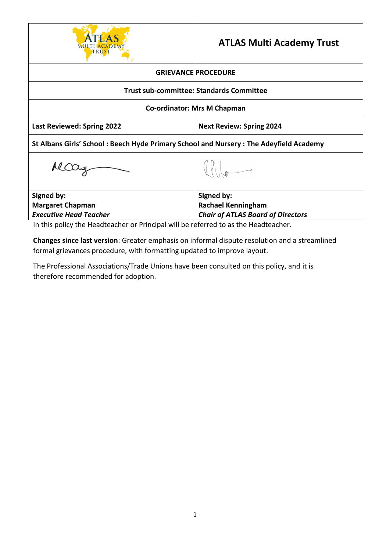

## **ATLAS Multi Academy Trust**

## **GRIEVANCE PROCEDURE**

## **Trust sub-committee: Standards Committee**

## **Co-ordinator: Mrs M Chapman**

**Last Reviewed: Spring 2022 Next Review: Spring 2024**

 $\mathbb{Q}$ 

**St Albans Girls' School : Beech Hyde Primary School and Nursery : The Adeyfield Academy**

Mccay

| Signed by:                    | Signed by:                               |
|-------------------------------|------------------------------------------|
| <b>Margaret Chapman</b>       | <b>Rachael Kenningham</b>                |
| <b>Executive Head Teacher</b> | <b>Chair of ATLAS Board of Directors</b> |
|                               |                                          |

In this policy the Headteacher or Principal will be referred to as the Headteacher.

**Changes since last version**: Greater emphasis on informal dispute resolution and a streamlined formal grievances procedure, with formatting updated to improve layout.

The Professional Associations/Trade Unions have been consulted on this policy, and it is therefore recommended for adoption.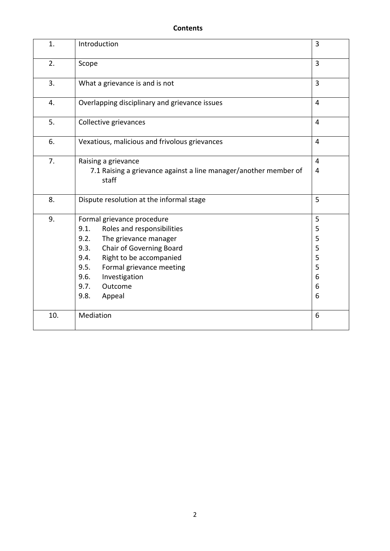| 1.  | Introduction                                                              | 3              |
|-----|---------------------------------------------------------------------------|----------------|
| 2.  | Scope                                                                     | 3              |
| 3.  | What a grievance is and is not                                            | 3              |
| 4.  | Overlapping disciplinary and grievance issues                             | 4              |
| 5.  | Collective grievances                                                     | $\overline{4}$ |
| 6.  | Vexatious, malicious and frivolous grievances                             | 4              |
| 7.  | Raising a grievance                                                       | 4              |
|     | 7.1 Raising a grievance against a line manager/another member of<br>staff | 4              |
| 8.  | Dispute resolution at the informal stage                                  | 5              |
| 9.  | Formal grievance procedure                                                | 5              |
|     | Roles and responsibilities<br>9.1.                                        | 5              |
|     | The grievance manager<br>9.2.                                             | 5              |
|     | Chair of Governing Board<br>9.3.                                          | 5              |
|     | Right to be accompanied<br>9.4.                                           | 5              |
|     | 9.5.<br>Formal grievance meeting                                          | 5              |
|     | 9.6.<br>Investigation                                                     | 6              |
|     | 9.7.<br>Outcome                                                           | 6              |
|     | 9.8.<br>Appeal                                                            | 6              |
| 10. | Mediation                                                                 | 6              |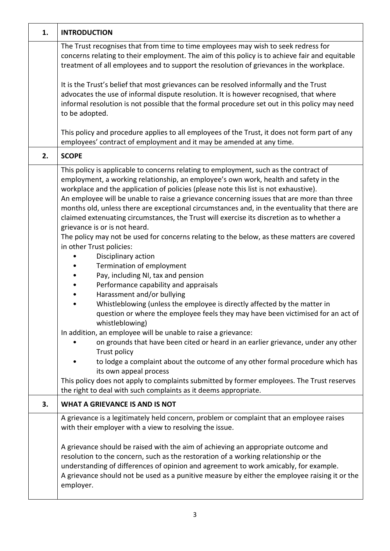| 1. | <b>INTRODUCTION</b>                                                                                                                                                                                                                                                                                                                                                                                                                                                                                                                                                                                                                                                                                                                                                                                                                                                                                                                                                                                                                                                                                                                                                                                                                                                                                                                                                                                                                                                                                                                   |
|----|---------------------------------------------------------------------------------------------------------------------------------------------------------------------------------------------------------------------------------------------------------------------------------------------------------------------------------------------------------------------------------------------------------------------------------------------------------------------------------------------------------------------------------------------------------------------------------------------------------------------------------------------------------------------------------------------------------------------------------------------------------------------------------------------------------------------------------------------------------------------------------------------------------------------------------------------------------------------------------------------------------------------------------------------------------------------------------------------------------------------------------------------------------------------------------------------------------------------------------------------------------------------------------------------------------------------------------------------------------------------------------------------------------------------------------------------------------------------------------------------------------------------------------------|
|    | The Trust recognises that from time to time employees may wish to seek redress for<br>concerns relating to their employment. The aim of this policy is to achieve fair and equitable<br>treatment of all employees and to support the resolution of grievances in the workplace.                                                                                                                                                                                                                                                                                                                                                                                                                                                                                                                                                                                                                                                                                                                                                                                                                                                                                                                                                                                                                                                                                                                                                                                                                                                      |
|    | It is the Trust's belief that most grievances can be resolved informally and the Trust<br>advocates the use of informal dispute resolution. It is however recognised, that where<br>informal resolution is not possible that the formal procedure set out in this policy may need<br>to be adopted.                                                                                                                                                                                                                                                                                                                                                                                                                                                                                                                                                                                                                                                                                                                                                                                                                                                                                                                                                                                                                                                                                                                                                                                                                                   |
|    | This policy and procedure applies to all employees of the Trust, it does not form part of any<br>employees' contract of employment and it may be amended at any time.                                                                                                                                                                                                                                                                                                                                                                                                                                                                                                                                                                                                                                                                                                                                                                                                                                                                                                                                                                                                                                                                                                                                                                                                                                                                                                                                                                 |
| 2. | <b>SCOPE</b>                                                                                                                                                                                                                                                                                                                                                                                                                                                                                                                                                                                                                                                                                                                                                                                                                                                                                                                                                                                                                                                                                                                                                                                                                                                                                                                                                                                                                                                                                                                          |
|    | This policy is applicable to concerns relating to employment, such as the contract of<br>employment, a working relationship, an employee's own work, health and safety in the<br>workplace and the application of policies (please note this list is not exhaustive).<br>An employee will be unable to raise a grievance concerning issues that are more than three<br>months old, unless there are exceptional circumstances and, in the eventuality that there are<br>claimed extenuating circumstances, the Trust will exercise its discretion as to whether a<br>grievance is or is not heard.<br>The policy may not be used for concerns relating to the below, as these matters are covered<br>in other Trust policies:<br>Disciplinary action<br>Termination of employment<br>Pay, including NI, tax and pension<br>Performance capability and appraisals<br>Harassment and/or bullying<br>Whistleblowing (unless the employee is directly affected by the matter in<br>question or where the employee feels they may have been victimised for an act of<br>whistleblowing)<br>In addition, an employee will be unable to raise a grievance:<br>on grounds that have been cited or heard in an earlier grievance, under any other<br>Trust policy<br>to lodge a complaint about the outcome of any other formal procedure which has<br>its own appeal process<br>This policy does not apply to complaints submitted by former employees. The Trust reserves<br>the right to deal with such complaints as it deems appropriate. |
| 3. | <b>WHAT A GRIEVANCE IS AND IS NOT</b>                                                                                                                                                                                                                                                                                                                                                                                                                                                                                                                                                                                                                                                                                                                                                                                                                                                                                                                                                                                                                                                                                                                                                                                                                                                                                                                                                                                                                                                                                                 |
|    | A grievance is a legitimately held concern, problem or complaint that an employee raises<br>with their employer with a view to resolving the issue.<br>A grievance should be raised with the aim of achieving an appropriate outcome and<br>resolution to the concern, such as the restoration of a working relationship or the<br>understanding of differences of opinion and agreement to work amicably, for example.<br>A grievance should not be used as a punitive measure by either the employee raising it or the                                                                                                                                                                                                                                                                                                                                                                                                                                                                                                                                                                                                                                                                                                                                                                                                                                                                                                                                                                                                              |
|    | employer.                                                                                                                                                                                                                                                                                                                                                                                                                                                                                                                                                                                                                                                                                                                                                                                                                                                                                                                                                                                                                                                                                                                                                                                                                                                                                                                                                                                                                                                                                                                             |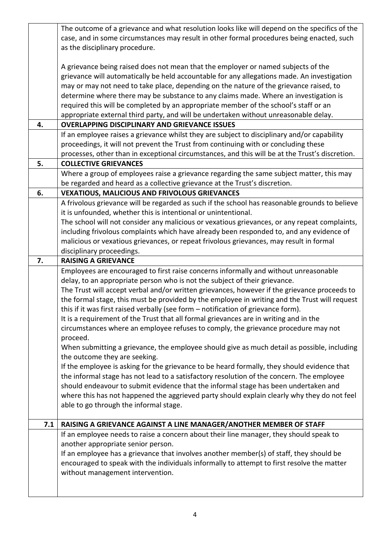|     | The outcome of a grievance and what resolution looks like will depend on the specifics of the   |
|-----|-------------------------------------------------------------------------------------------------|
|     | case, and in some circumstances may result in other formal procedures being enacted, such       |
|     | as the disciplinary procedure.                                                                  |
|     |                                                                                                 |
|     | A grievance being raised does not mean that the employer or named subjects of the               |
|     | grievance will automatically be held accountable for any allegations made. An investigation     |
|     | may or may not need to take place, depending on the nature of the grievance raised, to          |
|     | determine where there may be substance to any claims made. Where an investigation is            |
|     | required this will be completed by an appropriate member of the school's staff or an            |
|     | appropriate external third party, and will be undertaken without unreasonable delay.            |
| 4.  | <b>OVERLAPPING DISCIPLINARY AND GRIEVANCE ISSUES</b>                                            |
|     | If an employee raises a grievance whilst they are subject to disciplinary and/or capability     |
|     | proceedings, it will not prevent the Trust from continuing with or concluding these             |
|     | processes, other than in exceptional circumstances, and this will be at the Trust's discretion. |
| 5.  | <b>COLLECTIVE GRIEVANCES</b>                                                                    |
|     | Where a group of employees raise a grievance regarding the same subject matter, this may        |
|     | be regarded and heard as a collective grievance at the Trust's discretion.                      |
| 6.  | <b>VEXATIOUS, MALICIOUS AND FRIVOLOUS GRIEVANCES</b>                                            |
|     | A frivolous grievance will be regarded as such if the school has reasonable grounds to believe  |
|     | it is unfounded, whether this is intentional or unintentional.                                  |
|     | The school will not consider any malicious or vexatious grievances, or any repeat complaints,   |
|     | including frivolous complaints which have already been responded to, and any evidence of        |
|     | malicious or vexatious grievances, or repeat frivolous grievances, may result in formal         |
|     | disciplinary proceedings.                                                                       |
| 7.  | <b>RAISING A GRIEVANCE</b>                                                                      |
|     | Employees are encouraged to first raise concerns informally and without unreasonable            |
|     | delay, to an appropriate person who is not the subject of their grievance.                      |
|     | The Trust will accept verbal and/or written grievances, however if the grievance proceeds to    |
|     | the formal stage, this must be provided by the employee in writing and the Trust will request   |
|     | this if it was first raised verbally (see form - notification of grievance form).               |
|     | It is a requirement of the Trust that all formal grievances are in writing and in the           |
|     | circumstances where an employee refuses to comply, the grievance procedure may not              |
|     | proceed.                                                                                        |
|     | When submitting a grievance, the employee should give as much detail as possible, including     |
|     | the outcome they are seeking.                                                                   |
|     | If the employee is asking for the grievance to be heard formally, they should evidence that     |
|     | the informal stage has not lead to a satisfactory resolution of the concern. The employee       |
|     | should endeavour to submit evidence that the informal stage has been undertaken and             |
|     | where this has not happened the aggrieved party should explain clearly why they do not feel     |
|     | able to go through the informal stage.                                                          |
|     |                                                                                                 |
| 7.1 | RAISING A GRIEVANCE AGAINST A LINE MANAGER/ANOTHER MEMBER OF STAFF                              |
|     | If an employee needs to raise a concern about their line manager, they should speak to          |
|     | another appropriate senior person.                                                              |
|     | If an employee has a grievance that involves another member(s) of staff, they should be         |
|     | encouraged to speak with the individuals informally to attempt to first resolve the matter      |
|     | without management intervention.                                                                |
|     |                                                                                                 |
|     |                                                                                                 |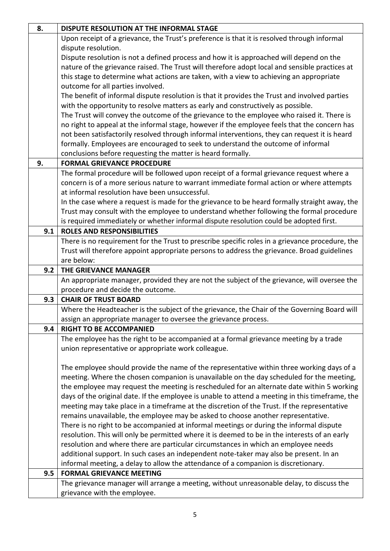| 8.  | DISPUTE RESOLUTION AT THE INFORMAL STAGE                                                                                                                                    |
|-----|-----------------------------------------------------------------------------------------------------------------------------------------------------------------------------|
|     | Upon receipt of a grievance, the Trust's preference is that it is resolved through informal                                                                                 |
|     | dispute resolution.                                                                                                                                                         |
|     | Dispute resolution is not a defined process and how it is approached will depend on the                                                                                     |
|     | nature of the grievance raised. The Trust will therefore adopt local and sensible practices at                                                                              |
|     | this stage to determine what actions are taken, with a view to achieving an appropriate                                                                                     |
|     | outcome for all parties involved.                                                                                                                                           |
|     | The benefit of informal dispute resolution is that it provides the Trust and involved parties                                                                               |
|     | with the opportunity to resolve matters as early and constructively as possible.                                                                                            |
|     | The Trust will convey the outcome of the grievance to the employee who raised it. There is                                                                                  |
|     | no right to appeal at the informal stage, however if the employee feels that the concern has                                                                                |
|     | not been satisfactorily resolved through informal interventions, they can request it is heard                                                                               |
|     | formally. Employees are encouraged to seek to understand the outcome of informal                                                                                            |
|     | conclusions before requesting the matter is heard formally.                                                                                                                 |
| 9.  | <b>FORMAL GRIEVANCE PROCEDURE</b>                                                                                                                                           |
|     | The formal procedure will be followed upon receipt of a formal grievance request where a                                                                                    |
|     | concern is of a more serious nature to warrant immediate formal action or where attempts                                                                                    |
|     | at informal resolution have been unsuccessful.                                                                                                                              |
|     | In the case where a request is made for the grievance to be heard formally straight away, the                                                                               |
|     | Trust may consult with the employee to understand whether following the formal procedure                                                                                    |
|     | is required immediately or whether informal dispute resolution could be adopted first.                                                                                      |
| 9.1 | <b>ROLES AND RESPONSIBILITIES</b>                                                                                                                                           |
|     | There is no requirement for the Trust to prescribe specific roles in a grievance procedure, the                                                                             |
|     | Trust will therefore appoint appropriate persons to address the grievance. Broad guidelines                                                                                 |
|     | are below:                                                                                                                                                                  |
| 9.2 | THE GRIEVANCE MANAGER                                                                                                                                                       |
|     | An appropriate manager, provided they are not the subject of the grievance, will oversee the                                                                                |
|     | procedure and decide the outcome.                                                                                                                                           |
| 9.3 | <b>CHAIR OF TRUST BOARD</b>                                                                                                                                                 |
|     | Where the Headteacher is the subject of the grievance, the Chair of the Governing Board will                                                                                |
|     | assign an appropriate manager to oversee the grievance process.                                                                                                             |
| 9.4 | <b>RIGHT TO BE ACCOMPANIED</b>                                                                                                                                              |
|     | The employee has the right to be accompanied at a formal grievance meeting by a trade                                                                                       |
|     | union representative or appropriate work colleague.                                                                                                                         |
|     |                                                                                                                                                                             |
|     | The employee should provide the name of the representative within three working days of a                                                                                   |
|     | meeting. Where the chosen companion is unavailable on the day scheduled for the meeting,                                                                                    |
|     | the employee may request the meeting is rescheduled for an alternate date within 5 working                                                                                  |
|     | days of the original date. If the employee is unable to attend a meeting in this timeframe, the                                                                             |
|     | meeting may take place in a timeframe at the discretion of the Trust. If the representative                                                                                 |
|     | remains unavailable, the employee may be asked to choose another representative.<br>There is no right to be accompanied at informal meetings or during the informal dispute |
|     | resolution. This will only be permitted where it is deemed to be in the interests of an early                                                                               |
|     |                                                                                                                                                                             |
|     | resolution and where there are particular circumstances in which an employee needs                                                                                          |
|     | additional support. In such cases an independent note-taker may also be present. In an                                                                                      |
| 9.5 | informal meeting, a delay to allow the attendance of a companion is discretionary.<br><b>FORMAL GRIEVANCE MEETING</b>                                                       |
|     | The grievance manager will arrange a meeting, without unreasonable delay, to discuss the                                                                                    |
|     | grievance with the employee.                                                                                                                                                |
|     |                                                                                                                                                                             |